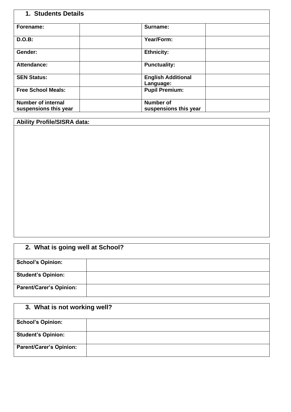| 1. Students Details                                |                                           |  |
|----------------------------------------------------|-------------------------------------------|--|
| Forename:                                          | Surname:                                  |  |
| D.O.B:                                             | Year/Form:                                |  |
| Gender:                                            | <b>Ethnicity:</b>                         |  |
| Attendance:                                        | <b>Punctuality:</b>                       |  |
| <b>SEN Status:</b>                                 | <b>English Additional</b><br>Language:    |  |
| <b>Free School Meals:</b>                          | <b>Pupil Premium:</b>                     |  |
| <b>Number of internal</b><br>suspensions this year | <b>Number of</b><br>suspensions this year |  |

### **Ability Profile/SISRA data:**

## **2. What is going well at School? School's Opinion: Student's Opinion: Parent/Carer's Opinion:**

# **3. What is not working well? School's Opinion: Student's Opinion: Parent/Carer's Opinion:**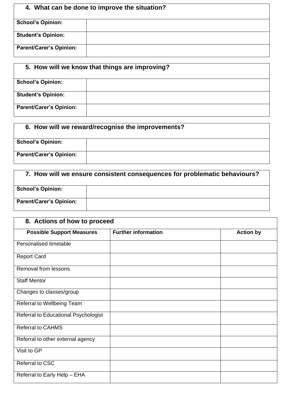## **4. What can be done to improve the situation?**

| <b>School's Opinion:</b>       |  |
|--------------------------------|--|
|                                |  |
| <b>Student's Opinion:</b>      |  |
|                                |  |
| <b>Parent/Carer's Opinion:</b> |  |
|                                |  |

### **5. How will we know that things are improving?**

| <b>School's Opinion:</b>       |  |
|--------------------------------|--|
|                                |  |
|                                |  |
| <b>Student's Opinion:</b>      |  |
|                                |  |
| <b>Parent/Carer's Opinion:</b> |  |
|                                |  |
|                                |  |

| 6. How will we reward/recognise the improvements? |  |
|---------------------------------------------------|--|
| <b>School's Opinion:</b>                          |  |
| <b>Parent/Carer's Opinion:</b>                    |  |

| 7. How will we ensure consistent consequences for problematic behaviours? |  |  |
|---------------------------------------------------------------------------|--|--|
| <b>School's Opinion:</b>                                                  |  |  |
| <b>Parent/Carer's Opinion:</b>                                            |  |  |

| 8. Actions of how to proceed         |                            |                  |
|--------------------------------------|----------------------------|------------------|
| <b>Possible Support Measures</b>     | <b>Further information</b> | <b>Action by</b> |
| Personalised timetable               |                            |                  |
| <b>Report Card</b>                   |                            |                  |
| Removal from lessons                 |                            |                  |
| <b>Staff Mentor</b>                  |                            |                  |
| Changes to classes/group             |                            |                  |
| Referral to Wellbeing Team           |                            |                  |
| Referral to Educational Psychologist |                            |                  |
| <b>Referral to CAHMS</b>             |                            |                  |
| Referral to other external agency    |                            |                  |
| Visit to GP                          |                            |                  |
| <b>Referral to CSC</b>               |                            |                  |
| Referral to Early Help - EHA         |                            |                  |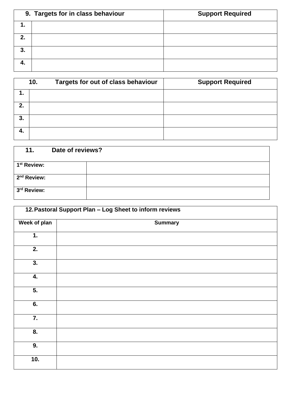|    | 9. Targets for in class behaviour | <b>Support Required</b> |
|----|-----------------------------------|-------------------------|
|    |                                   |                         |
| 2. |                                   |                         |
| 3. |                                   |                         |
|    |                                   |                         |

|     | 10. | Targets for out of class behaviour | <b>Support Required</b> |
|-----|-----|------------------------------------|-------------------------|
|     |     |                                    |                         |
| 2.  |     |                                    |                         |
| 3.  |     |                                    |                         |
| -4. |     |                                    |                         |

| 11.                     | Date of reviews? |
|-------------------------|------------------|
| 1 <sup>st</sup> Review: |                  |
| 2 <sup>nd</sup> Review: |                  |
| 3rd Review:             |                  |

| 12. Pastoral Support Plan - Log Sheet to inform reviews |                |
|---------------------------------------------------------|----------------|
| <b>Week of plan</b>                                     | <b>Summary</b> |
| 1.                                                      |                |
| 2.                                                      |                |
| 3.                                                      |                |
| 4.                                                      |                |
| $\overline{5}$ .                                        |                |
| 6.                                                      |                |
| 7.                                                      |                |
| 8.                                                      |                |
| 9.                                                      |                |
| 10.                                                     |                |